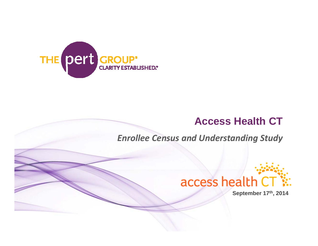

## **Access Health CT**

*Enrollee Census and Understanding Study*



**September 17th, 2014**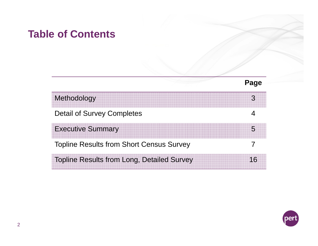## **Table of Contents**

| Methodology                                       |  |
|---------------------------------------------------|--|
| <b>Detail of Survey Completes</b>                 |  |
| <b>Executive Summary</b>                          |  |
| <b>Topline Results from Short Census Survey</b>   |  |
| <b>Topline Results from Long, Detailed Survey</b> |  |

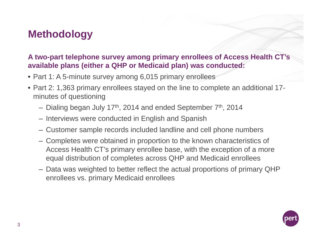# **Methodology**

#### **A two-part telephone survey among primary enrollees of Access Health CT's available plans (either a QHP or Medicaid plan) was conducted:**

- Part 1: A 5-minute survey among 6,015 primary enrollees
- Part 2: 1,363 primary enrollees stayed on the line to complete an additional 17 minutes of questioning
	- Dialing began July 17<sup>th</sup>, 2014 and ended September 7<sup>th</sup>, 2014
	- Interviews were conducted in English and Spanish
	- Customer sample records included landline and cell phone numbers
	- Completes were obtained in proportion to the known characteristics of Access Health CT's primary enrollee base, with the exception of a more equal distribution of completes across QHP and Medicaid enrollees
	- Data was weighted to better reflect the actual proportions of primary QHP enrollees vs. primary Medicaid enrollees

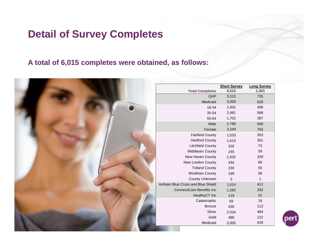# **Detail of Survey Completes**

#### **A total of 6,015 completes were obtained, as follows:**

|                                   | <b>Short Survey</b> | <b>Long Survey</b> |
|-----------------------------------|---------------------|--------------------|
| <b>Total Completes</b>            | 6,015               | 1,363              |
| QHP                               | 3,015               | 735                |
| Medicaid                          | 3,000               | 628                |
| 18-34                             | 1,832               | 408                |
| 35-54                             | 2,481               | 568                |
| 55-64                             | 1,702               | 387                |
| Male                              | 2,766               | 608                |
| Female                            | 3,249               | 755                |
| <b>Fairfield County</b>           | 1,533               | 353                |
| <b>Hartford County</b>            | 1,613               | 351                |
| <b>Litchfield County</b>          | 326                 | 73                 |
| Middlesex County                  | 245                 | 59                 |
| New Haven County                  | 1,432               | 329                |
| New London County                 | 434                 | 89                 |
| <b>Tolland County</b>             | 230                 | 50                 |
| Windham County                    | 199                 | 58                 |
| County Unknown                    | 3                   | $\mathbf{1}$       |
| Anthem Blue Cross and Blue Shield | 1,614               | 412                |
| <b>ConnectiCare Benefits Inc</b>  | 1,282               | 292                |
| HealthyCT Inc                     | 119                 | 31                 |
| Catastrophic                      | 59                  | 16                 |
| <b>Bronze</b>                     | 436                 | 113                |
| Silver                            | 2,034               | 484                |
| Gold                              | 486                 | 122                |
| Medicaid                          | 3,000               | 628                |
|                                   |                     |                    |

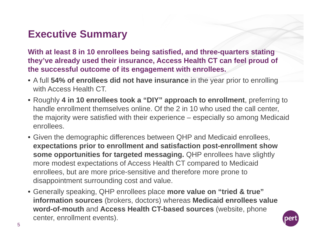# **Executive Summary**

**With at least 8 in 10 enrollees being satisfied, and three-quarters stating they've already used their insurance, Access Health CT can feel proud of the successful outcome of its engagement with enrollees.** 

- A full **54% of enrollees did not have insurance** in the year prior to enrolling with Access Health CT.
- Roughly **4 in 10 enrollees took a "DIY" approach to enrollment**, preferring to handle enrollment themselves online. Of the 2 in 10 who used the call center, the majority were satisfied with their experience – especially so among Medicaid enrollees.
- Given the demographic differences between QHP and Medicaid enrollees, **expectations prior to enrollment and satisfaction post-enrollment show some opportunities for targeted messaging.** QHP enrollees have slightly more modest expectations of Access Health CT compared to Medicaid enrollees, but are more price-sensitive and therefore more prone to disappointment surrounding cost and value.
- Generally speaking, QHP enrollees place **more value on "tried & true" information sources** (brokers, doctors) whereas **Medicaid enrollees value word-of-mouth** and **Access Health CT-based sources** (website, phone center, enrollment events).

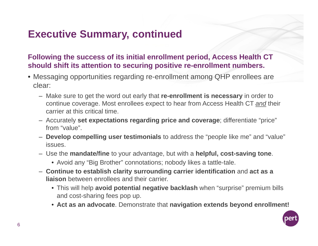# **Executive Summary, continued**

**Following the success of its initial enrollment period, Access Health CT should shift its attention to securing positive re-enrollment numbers.**

- Messaging opportunities regarding re-enrollment among QHP enrollees are clear:
	- Make sure to get the word out early that **re-enrollment is necessary** in order to continue coverage. Most enrollees expect to hear from Access Health CT *and* their carrier at this critical time.
	- Accurately **set expectations regarding price and coverage**; differentiate "price" from "value".
	- **Develop compelling user testimonials** to address the "people like me" and "value" issues.
	- Use the **mandate/fine** to your advantage, but with a **helpful, cost-saving tone**.
		- Avoid any "Big Brother" connotations; nobody likes a tattle-tale.
	- **Continue to establish clarity surrounding carrier identification** and **act as a liaison** between enrollees and their carrier.
		- This will help **avoid potential negative backlash** when "surprise" premium bills and cost-sharing fees pop up.
		- **Act as an advocate**. Demonstrate that **navigation extends beyond enrollment!**

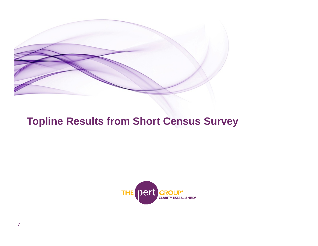

#### **Topline Results from Short Census Survey**

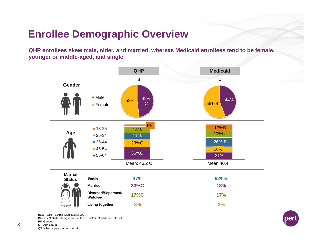### **Enrollee Demographic Overview**

**QHP enrollees skew male, older, and married, whereas Medicaid enrollees tend to be female, younger or middle-aged, and single.**



Base: QHP (3,015); Medicaid (3,000)

Bb/Cc = Statistically significant at the 95%/90% Confidence Interval

R5 Gender

R1 Age Group

Q5 What is your marital status?

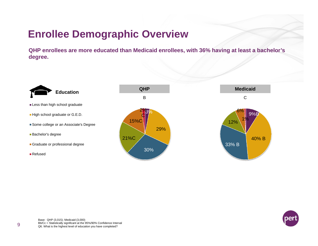# **Enrollee Demographic Overview**

**QHP enrollees are more educated than Medicaid enrollees, with 36% having at least a bachelor's degree.** 

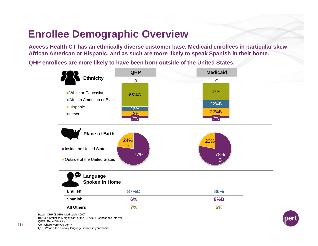## **Enrollee Demographic Overview**

**Access Health CT has an ethnically diverse customer base. Medicaid enrollees in particular skew African American or Hispanic, and as such are more likely to speak Spanish in their home.** 

**QHP enrollees are more likely to have been born outside of the United States.**



Bb/Cc = Statistically significant at the 95%/90% Confidence Interval Q8R2. Race/Ethnicity Q9. Where were you born? Q10. What is the primary language spoken in your home?

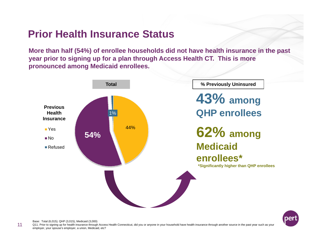#### **Prior Health Insurance Status**

**More than half (54%) of enrollee households did not have health insurance in the past year prior to signing up for a plan through Access Health CT. This is more pronounced among Medicaid enrollees.**





Base: Total (6,015); QHP (3,015); Medicaid (3,000)

11Q11. Prior to signing up for health insurance through Access Health Connecticut, did you or anyone in your household have health insurance through another source in the past year such as your employer, your spouse's employer, a union, Medicaid, etc?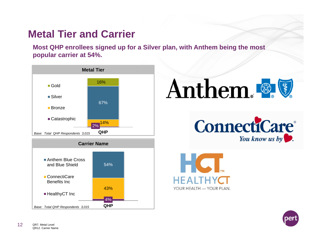# **Metal Tier and Carrier**

**Most QHP enrollees signed up for a Silver plan, with Anthem being the most popular carrier at 54%.**









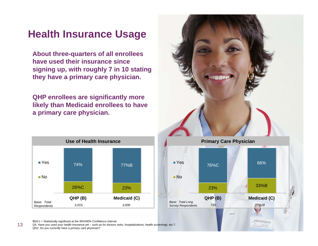#### **Health Insurance Usage**

**About three-quarters of all enrollees have used their insurance since signing up, with roughly 7 in 10 stating they have a primary care physician.** 

**QHP enrollees are significantly more likely than Medicaid enrollees to have a primary care physician.**







Bb/Cc = Statistically significant at the 95%/90% Confidence Interval

13

Q4. Have you used your health insurance yet – such as for doctors visits, hospitalizations, health screenings, etc.? QD2. Do you currently have a primary care physician?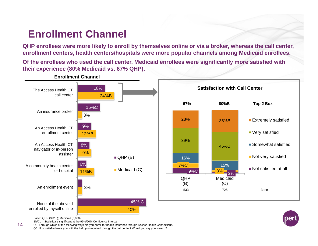# **Enrollment Channel**

**QHP enrollees were more likely to enroll by themselves online or via a broker, whereas the call center, enrollment centers, health centers/hospitals were more popular channels among Medicaid enrollees.** 

**Of the enrollees who used the call center, Medicaid enrollees were significantly more satisfied with their experience (80% Medicaid vs. 67% QHP).**



Base: QHP (3,015); Medicaid (3,000)

Bb/Cc = Statistically significant at the 95%/90% Confidence Interval

Q2 Through which of the following ways did you enroll for health insurance through Access Health Connecticut?

Q3 How satisfied were you with the help you received through the call center? Would you say you were…?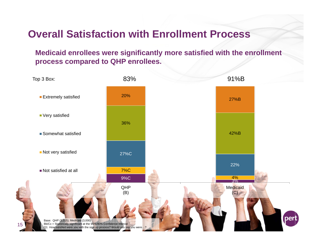#### **Overall Satisfaction with Enrollment Process**

**Medicaid enrollees were significantly more satisfied with the enrollment process compared to QHP enrollees.**

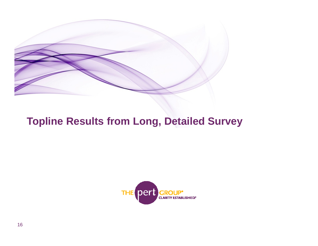

#### **Topline Results from Long, Detailed Survey**

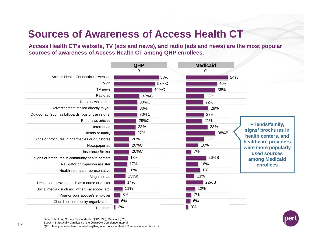# **Sources of Awareness of Access Health CT**

**Access Health CT's website, TV (ads and news), and radio (ads and news) are the most popular sources of awareness of Access Health CT among QHP enrollees.**

|                                                     | <b>QHP</b> | <b>Medicaid</b> |                                             |
|-----------------------------------------------------|------------|-----------------|---------------------------------------------|
|                                                     | В          | C               |                                             |
| Access Health Connecticut's website                 | 58%        | 54%             |                                             |
| TV ad                                               | 53%C       | 40%             |                                             |
| TV news                                             | 49%C       | 38%             |                                             |
| Radio ad                                            | 33%C       | 23%             |                                             |
| Radio news stories                                  | 30%C       | 22%             |                                             |
| Advertisement mailed directly to you                | 30%        | 29%             |                                             |
| Outdoor ad (such as billboards, bus or train signs) | 30%C       | 23%             |                                             |
| Print news articles                                 | 29%C       | 21%             |                                             |
| Internet ad                                         | 28%        | 28%             | <b>Friends/family,</b>                      |
| Friends or family                                   | 27%        | 38%B            | signs/ brochures in                         |
| Signs or brochures in pharmacies or drugstores      | 20%        | 23%             | health centers, and<br>healthcare providers |
| Newspaper ad                                        | 20%C       | 16%             | were more popularly                         |
| <b>Insurance Broker</b>                             | 20%C       | 7%              | used sources                                |
| Signs or brochures in community health centers      | 18%        | 26%B            | among Medicaid                              |
| Navigator or In-person assister                     | 17%        | 16%             | enrollees                                   |
| Health insurance representative                     | 16%        | 18%             |                                             |
| Magazine ad                                         | 15%c       | 11%             |                                             |
| Healthcare provider such as a nurse or doctor       | 14%        | 22%B            |                                             |
| Social media - such as Twitter, Facebook, etc.      | 11%        | 12%             |                                             |
| Your or your spouse's employer                      | 8%         | 7%              |                                             |
| Church or community organizations                   | 6%         | 6%              |                                             |
| <b>Teachers</b>                                     | 2%         | 3%              |                                             |



Base Total Long Survey Respondents: QHP (735); Medicaid (628)

Bb/Cc = Statistically significant at the 95%/90% Confidence Interval

Q26. Have you seen, heard or read anything about Access Health Connecticut in/on/from...?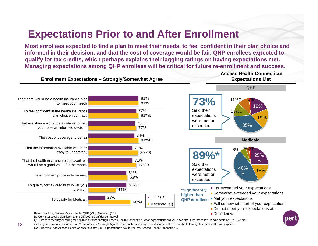#### **Expectations Prior to and After Enrollment**

**Most enrollees expected to find a plan to meet their needs, to feel confident in their plan choice and informed in their decision, and that the cost of coverage would be fair. QHP enrollees expected to qualify for tax credits, which perhaps explains their lagging ratings on having expectations met. Managing expectations among QHP enrollees will be critical for future re-enrollment and success.**



Q15. Prior to recently enrolling for health insurance through Access Health Connecticut, what expectations did you have about the process? Using a scale of 1 to 5, where "1"

means you "Strongly Disagree" and "5" means you "Strongly Agree", how much do you agree or disagree with each of the following statements? Did you expect… Q28. How well has Access Health Connecticut met your expectations? Would you say Access Health Connecticut…

18

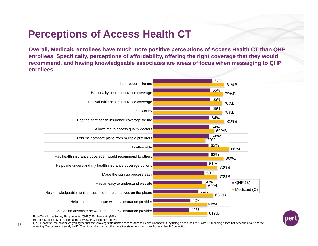## **Perceptions of Access Health CT**

**Overall, Medicaid enrollees have much more positive perceptions of Access Health CT than QHP enrollees. Specifically, perceptions of affordability, offering the right coverage that they would recommend, and having knowledgeable associates are areas of focus when messaging to QHP enrollees.** 





Base Total Long Survey Respondents: QHP (735); Medicaid (628) Bb/Cc = Statistically significant at the 95%/90% Confidence Interval

Q27. Please tell me how much you agree that the following statements describe Access Health Connecticut, by using a scale of 1 to 5, with "1" meaning "Does not describe at all" and "5" meaning "Describes extremely well". The higher the number, the more the statement describes Access Health Connecticut.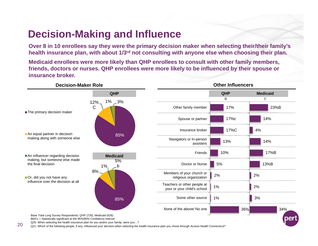## **Decision-Making and Influence**

**Over 8 in 10 enrollees say they were the primary decision maker when selecting their/their family's health insurance plan, with about 1/3rd not consulting with anyone else when choosing their plan.**

**Medicaid enrollees were more likely than QHP enrollees to consult with other family members, friends, doctors or nurses. QHP enrollees were more likely to be influenced by their spouse or insurance broker.**



20Q21. Which of the following people, if any, influenced your decision when selecting the health insurance plan you chose through Access Health Connecticut?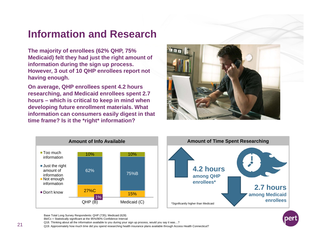#### **Information and Research**

**The majority of enrollees (62% QHP, 75% Medicaid) felt they had just the right amount of information during the sign up process. However, 3 out of 10 QHP enrollees report not having enough.** 

**On average, QHP enrollees spent 4.2 hours researching, and Medicaid enrollees spent 2.7 hours – which is critical to keep in mind when developing future enrollment materials. What information can consumers easily digest in that time frame? Is it the \*right\* information?**







Base Total Long Survey Respondents: QHP (735); Medicaid (628)

Bb/Cc = Statistically significant at the 95%/90% Confidence Interval

Q18. Thinking about all the information available to you during your sign up process, would you say it was…?

Q19. Approximately how much time did you spend researching health insurance plans available through Access Health Connecticut?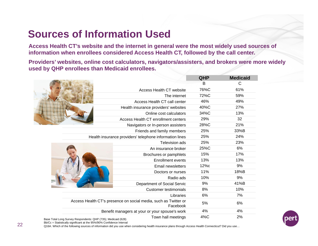## **Sources of Information Used**

**Access Health CT's website and the internet in general were the most widely used sources of information when enrollees considered Access Health CT, followed by the call center.** 

**Providers' websites, online cost calculators, navigators/assisters, and brokers were more widely used by QHP enrollees than Medicaid enrollees.**

|                                                               |                                                                             | QHP  | <b>Medicaid</b> |
|---------------------------------------------------------------|-----------------------------------------------------------------------------|------|-----------------|
|                                                               |                                                                             | B    | С               |
|                                                               | <b>Access Health CT website</b>                                             | 76%C | 61%             |
|                                                               | The internet                                                                | 72%C | 59%             |
|                                                               | Access Health CT call center                                                | 46%  | 49%             |
|                                                               | Health insurance providers' websites                                        | 40%C | 27%             |
|                                                               | Online cost calculators                                                     | 34%C | 13%             |
|                                                               | Access Health CT enrollment centers                                         | 29%  | 32              |
|                                                               | Navigators or In-person assisters                                           | 28%C | 21%             |
|                                                               | Friends and family members                                                  | 25%  | 33%B            |
|                                                               | Health insurance providers' telephone information lines                     | 25%  | 24%             |
|                                                               | <b>Television ads</b>                                                       | 25%  | 23%             |
|                                                               | An insurance broker                                                         | 25%C | 6%              |
|                                                               | Brochures or pamphlets                                                      | 15%  | 17%             |
|                                                               | Enrollment events                                                           | 13%  | 13%             |
|                                                               | Email newsletters                                                           | 12%c | 9%              |
|                                                               | Doctors or nurses                                                           | 11%  | 18%B            |
|                                                               | Radio ads                                                                   | 10%  | 9%              |
|                                                               | Department of Social Servic                                                 | 9%   | 41%B            |
|                                                               | <b>Customer testimonials</b>                                                | 8%   | 10%             |
|                                                               | Libraries                                                                   | 6%   | 7%              |
|                                                               | Access Health CT's presence on social media, such as Twitter or<br>Facebook | 5%   | 6%              |
|                                                               | Benefit managers at your or your spouse's work                              | 4%   | 4%              |
| Base Total Long Survey Respondents: OHP (735): Medicaid (628) | Town hall meetings                                                          | 4%C  | 2%              |



Base Total Long Survey Respondents: QHP (735); Medicaid (628)

Bb/Cc = Statistically significant at the 95%/90% Confidence Interval

Q16A. Which of the following sources of information did you use when considering health insurance plans through Access Health Connecticut? Did you use…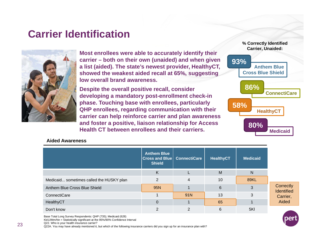#### **Carrier Identification**



**Most enrollees were able to accurately identify their carrier – both on their own (unaided) and when given a list (aided). The state's newest provider, HealthyCT, showed the weakest aided recall at 65%, suggesting low overall brand awareness.**

**Despite the overall positive recall, consider developing a mandatory post-enrollment check-in phase. Touching base with enrollees, particularly QHP enrollees, regarding communication with their carrier can help reinforce carrier and plan awareness and foster a positive, liaison relationship for Access Health CT between enrollees and their carriers.** 



#### **Aided Awareness**

|                                          | <b>Anthem Blue</b><br><b>Cross and Blue   ConnectiCare</b><br><b>Shield</b> |     | <b>HealthyCT</b> | <b>Medicaid</b> |
|------------------------------------------|-----------------------------------------------------------------------------|-----|------------------|-----------------|
|                                          | K                                                                           |     | M                | N               |
| Medicaid sometimes called the HUSKY plan | 2                                                                           | 4   | 10               | 89KL            |
| Anthem Blue Cross Blue Shield            | 95N                                                                         |     | $6\phantom{1}$   | 3               |
| ConnectiCare                             |                                                                             | 91N | 13               | 3               |
| HealthyCT                                | $\Omega$                                                                    |     | 65               |                 |
| Don't know                               | っ                                                                           |     | 6                | 5KI             |

Base Total Long Survey Respondents: QHP (735); Medicaid (628)

Kk/Ll/Mm/Nn = Statistically significant at the 95%/90% Confidence Interval

Q22. Who is your health insurance carrier?

Q22A. You may have already mentioned it, but which of the following insurance carriers did you sign up for an insurance plan with?

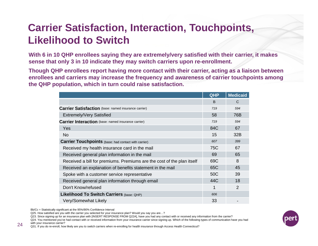# **Carrier Satisfaction, Interaction, Touchpoints, Likelihood to Switch**

**With 6 in 10 QHP enrollees saying they are extremely/very satisfied with their carrier, it makes sense that only 3 in 10 indicate they may switch carriers upon re-enrollment.** 

**Though QHP enrollees report having more contact with their carrier, acting as a liaison between enrollees and carriers may increase the frequency and awareness of carrier touchpoints among the QHP population, which in turn could raise satisfaction.** 

|                                                                        | QHP          | <b>Medicaid</b> |
|------------------------------------------------------------------------|--------------|-----------------|
|                                                                        | <sub>B</sub> | $\mathsf{C}$    |
| <b>Carrier Satisfaction</b> (base: named insurance carrier)            | 719          | 594             |
| <b>Extremely/Very Satisfied</b>                                        | 58           | 76B             |
| <b>Carrier Interaction</b> (base: named insurance carrier)             | 719          | 594             |
| Yes                                                                    | 84C          | 67              |
| <b>No</b>                                                              | 15           | 32B             |
| <b>Carrier Touchpoints</b> (base: had contact with carrier)            | 607          | 399             |
| Received my health insurance card in the mail                          | 75C          | 67              |
| Received general plan information in the mail                          | 69           | 65              |
| Received a bill for premiums. Premiums are the cost of the plan itself | 69C          | 8               |
| Received an explanation of benefits statement in the mail              | 65C          | 45              |
| Spoke with a customer service representative                           | 50C          | 39              |
| Received general plan information through email                        | 44C          | 18              |
| Don't Know/refused                                                     | 1            | 2               |
| Likelihood To Switch Carriers (base: QHP)                              | 606          |                 |
| Very/Somewhat Likely                                                   | 33           |                 |

Bb/Cc = Statistically significant at the 95%/90% Confidence Interval

Q25. How satisfied are you with the carrier you selected for your insurance plan? Would you say you are…?

Q23. Since signing up for an insurance plan with [INSERT RESPONSE FROM Q22A], have you had any contact with or received any information from the carrier?

Q24. You mentioned you've had contact with or received information from your insurance carrier since signing up. Which of the following types of communication have you had 24 with your insurance carrier?<br>
24 231 If you do re enroll, bow

Q31. If you do re-enroll, how likely are you to switch carriers when re-enrolling for health insurance through Access Health Connecticut?

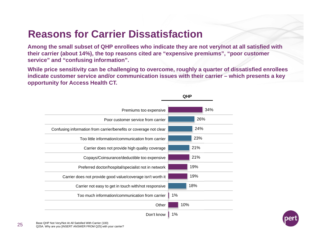## **Reasons for Carrier Dissatisfaction**

**Among the small subset of QHP enrollees who indicate they are not very/not at all satisfied with their carrier (about 14%), the top reasons cited are "expensive premiums", "poor customer service" and "confusing information".** 

**While price sensitivity can be challenging to overcome, roughly a quarter of dissatisfied enrollees indicate customer service and/or communication issues with their carrier – which presents a key opportunity for Access Health CT.**

| Premiums too expensive                                            | 34% |
|-------------------------------------------------------------------|-----|
| Poor customer service from carrier                                | 26% |
| Confusing information from carrier/benefits or coverage not clear | 24% |
| Too little information/communication from carrier                 | 23% |
| Carrier does not provide high quality coverage                    | 21% |
| Copays/Coinsurance/deductible too expensive                       | 21% |
| Preferred doctor/hospital/specialist not in network               | 19% |
| Carrier does not provide good value/coverage isn't worth it       | 19% |
| Carrier not easy to get in touch with/not responsive              | 18% |
| Too much information/communication from carrier                   | 1%  |
| Other                                                             | 10% |
| Don't know                                                        | 1%  |

**QHP**

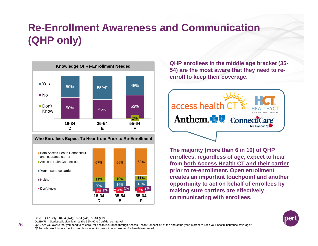# **Re-Enrollment Awareness and Communication (QHP only)**





**QHP enrollees in the middle age bracket (35- 54) are the most aware that they need to reenroll to keep their coverage.**



**The majority (more than 6 in 10) of QHP enrollees, regardless of age, expect to hear from both Access Health CT and their carrier prior to re-enrollment. Open enrollment creates an important touchpoint and another opportunity to act on behalf of enrollees by making sure carriers are effectively communicating with enrollees.** 



Base: QHP Only: 18-34 (141); 35-54 (246); 55-64 (219)

Dd/Ee/Ff = Statistically significant at the 95%/90% Confidence Interval

Q29. Are you aware that you need to re-enroll for health insurance through Access Health Connecticut at the end of the year in order to keep your health insurance coverage? Q29A. Who would you expect to hear from when it comes time to re-enroll for health insurance?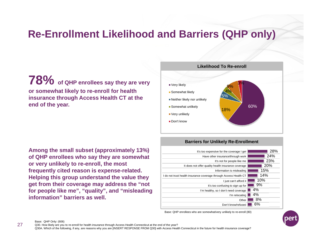## **Re-Enrollment Likelihood and Barriers (QHP only)**

**78%** of QHP enrollees say they are very **or somewhat likely to re-enroll for health insurance through Access Health CT at the end of the year.** 

**Among the small subset (approximately 13%) of QHP enrollees who say they are somewhat or very unlikely to re-enroll, the most frequently cited reason is expense-related. Helping this group understand the value they get from their coverage may address the "not for people like me", "quality", and "misleading information" barriers as well.**



#### **Barriers for Unlikely Re-Enrollment**



Base: QHP enrollees who are somewhat/very unlikely to re-enroll (80)



Base: QHP Only: (606)

Q30. How likely are you to re-enroll for health insurance through Access Health Connecticut at the end of the year?

Q30A. Which of the following, if any, are reasons why you are [INSERT RESPONSE FROM Q30] with Access Health Connecticut in the future for health insurance coverage?